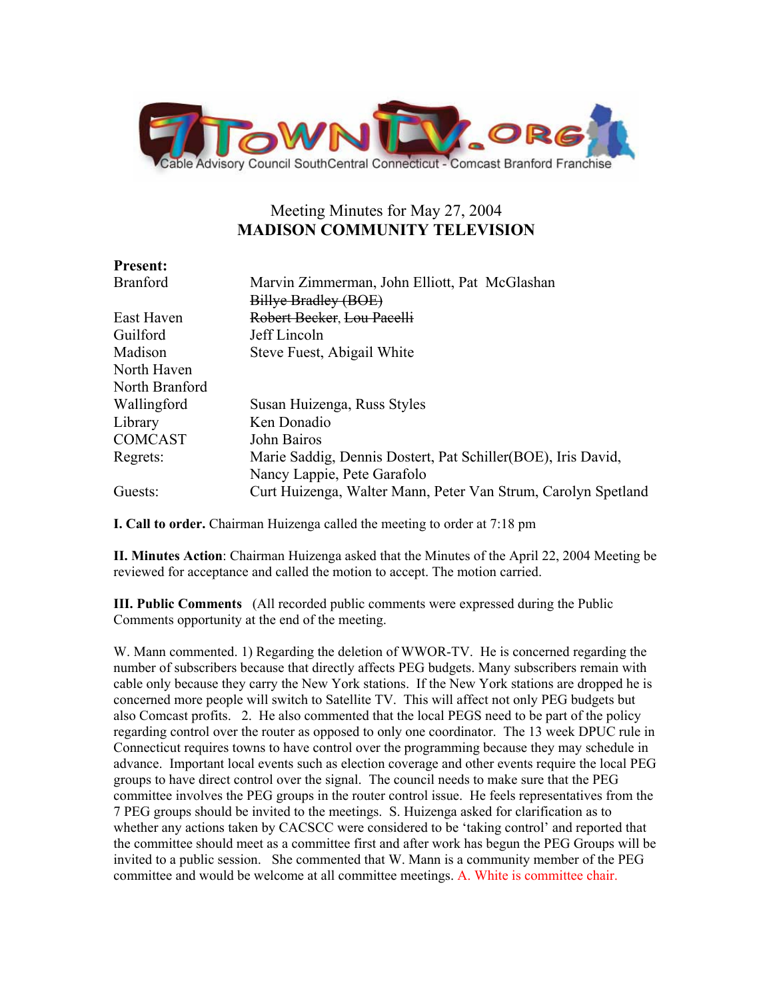

# Meeting Minutes for May 27, 2004 **MADISON COMMUNITY TELEVISION**

| <b>Present:</b> |                                                               |
|-----------------|---------------------------------------------------------------|
| <b>Branford</b> | Marvin Zimmerman, John Elliott, Pat McGlashan                 |
|                 | Billye Bradley (BOE)                                          |
| East Haven      | Robert Becker, Lou Pacelli                                    |
| Guilford        | Jeff Lincoln                                                  |
| Madison         | Steve Fuest, Abigail White                                    |
| North Haven     |                                                               |
| North Branford  |                                                               |
| Wallingford     | Susan Huizenga, Russ Styles                                   |
| Library         | Ken Donadio                                                   |
| <b>COMCAST</b>  | John Bairos                                                   |
| Regrets:        | Marie Saddig, Dennis Dostert, Pat Schiller (BOE), Iris David, |
|                 | Nancy Lappie, Pete Garafolo                                   |
| Guests:         | Curt Huizenga, Walter Mann, Peter Van Strum, Carolyn Spetland |

**I. Call to order.** Chairman Huizenga called the meeting to order at 7:18 pm

**II. Minutes Action**: Chairman Huizenga asked that the Minutes of the April 22, 2004 Meeting be reviewed for acceptance and called the motion to accept. The motion carried.

**III. Public Comments** (All recorded public comments were expressed during the Public Comments opportunity at the end of the meeting.

W. Mann commented. 1) Regarding the deletion of WWOR-TV. He is concerned regarding the number of subscribers because that directly affects PEG budgets. Many subscribers remain with cable only because they carry the New York stations. If the New York stations are dropped he is concerned more people will switch to Satellite TV. This will affect not only PEG budgets but also Comcast profits. 2. He also commented that the local PEGS need to be part of the policy regarding control over the router as opposed to only one coordinator. The 13 week DPUC rule in Connecticut requires towns to have control over the programming because they may schedule in advance. Important local events such as election coverage and other events require the local PEG groups to have direct control over the signal. The council needs to make sure that the PEG committee involves the PEG groups in the router control issue. He feels representatives from the 7 PEG groups should be invited to the meetings. S. Huizenga asked for clarification as to whether any actions taken by CACSCC were considered to be 'taking control' and reported that the committee should meet as a committee first and after work has begun the PEG Groups will be invited to a public session. She commented that W. Mann is a community member of the PEG committee and would be welcome at all committee meetings. A. White is committee chair.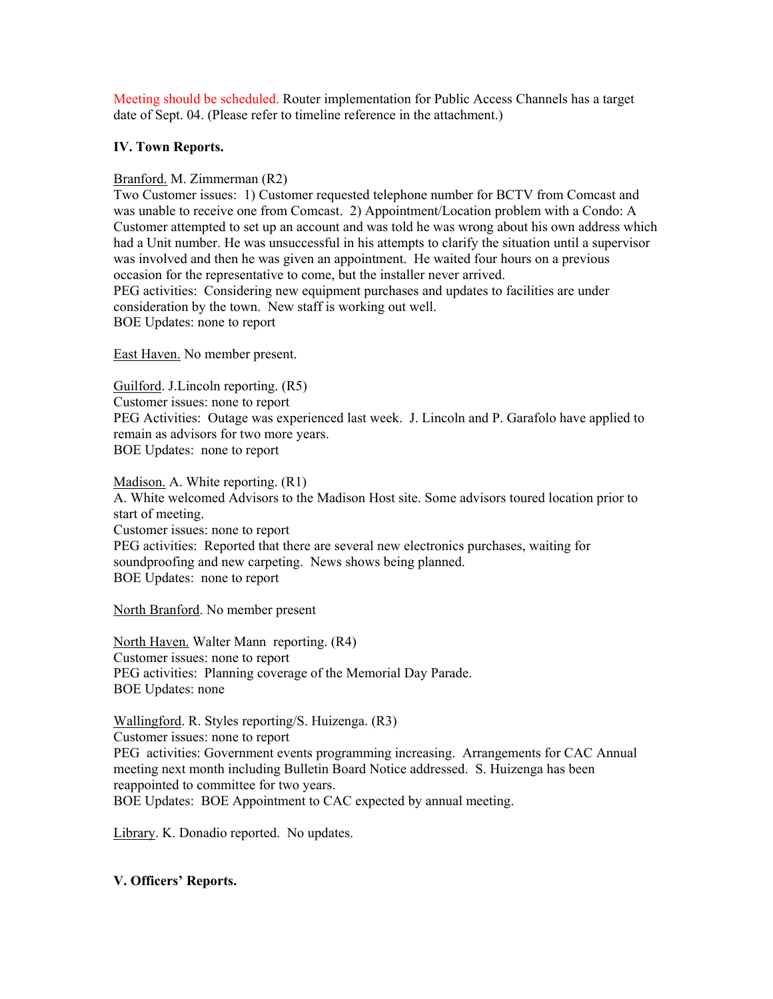Meeting should be scheduled. Router implementation for Public Access Channels has a target date of Sept. 04. (Please refer to timeline reference in the attachment.)

# **IV. Town Reports.**

## Branford. M. Zimmerman (R2)

Two Customer issues: 1) Customer requested telephone number for BCTV from Comcast and was unable to receive one from Comcast. 2) Appointment/Location problem with a Condo: A Customer attempted to set up an account and was told he was wrong about his own address which had a Unit number. He was unsuccessful in his attempts to clarify the situation until a supervisor was involved and then he was given an appointment. He waited four hours on a previous occasion for the representative to come, but the installer never arrived. PEG activities: Considering new equipment purchases and updates to facilities are under consideration by the town. New staff is working out well. BOE Updates: none to report

East Haven. No member present.

Guilford. J.Lincoln reporting. (R5) Customer issues: none to report PEG Activities: Outage was experienced last week. J. Lincoln and P. Garafolo have applied to remain as advisors for two more years. BOE Updates: none to report

Madison. A. White reporting. (R1) A. White welcomed Advisors to the Madison Host site. Some advisors toured location prior to start of meeting. Customer issues: none to report PEG activities: Reported that there are several new electronics purchases, waiting for soundproofing and new carpeting. News shows being planned. BOE Updates: none to report

North Branford. No member present

North Haven. Walter Mann reporting. (R4) Customer issues: none to report PEG activities: Planning coverage of the Memorial Day Parade. BOE Updates: none

Wallingford. R. Styles reporting/S. Huizenga. (R3) Customer issues: none to report PEG activities: Government events programming increasing. Arrangements for CAC Annual meeting next month including Bulletin Board Notice addressed. S. Huizenga has been reappointed to committee for two years. BOE Updates: BOE Appointment to CAC expected by annual meeting.

Library. K. Donadio reported. No updates.

# **V. Officers' Reports.**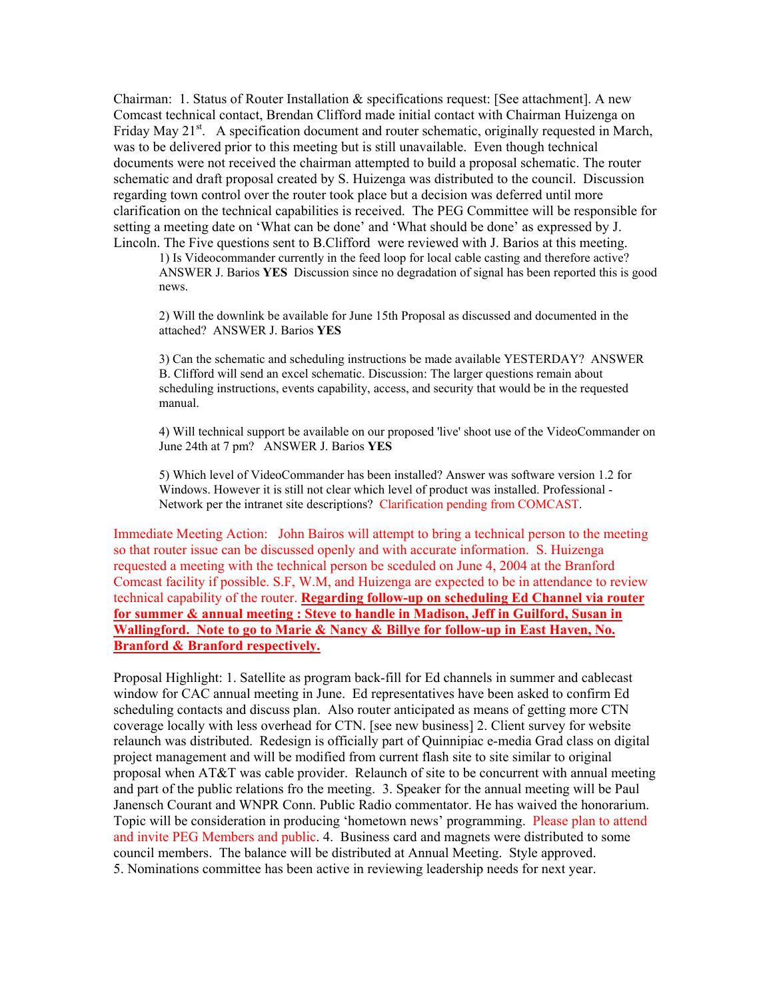Chairman: 1. Status of Router Installation  $\&$  specifications request: [See attachment]. A new Comcast technical contact, Brendan Clifford made initial contact with Chairman Huizenga on Friday May 21 $^{\text{st}}$ . A specification document and router schematic, originally requested in March, was to be delivered prior to this meeting but is still unavailable. Even though technical documents were not received the chairman attempted to build a proposal schematic. The router schematic and draft proposal created by S. Huizenga was distributed to the council. Discussion regarding town control over the router took place but a decision was deferred until more clarification on the technical capabilities is received. The PEG Committee will be responsible for setting a meeting date on 'What can be done' and 'What should be done' as expressed by J. Lincoln. The Five questions sent to B.Clifford were reviewed with J. Barios at this meeting.

1) Is Videocommander currently in the feed loop for local cable casting and therefore active? ANSWER J. Barios **YES** Discussion since no degradation of signal has been reported this is good news.

2) Will the downlink be available for June 15th Proposal as discussed and documented in the attached? ANSWER J. Barios **YES**

3) Can the schematic and scheduling instructions be made available YESTERDAY? ANSWER B. Clifford will send an excel schematic. Discussion: The larger questions remain about scheduling instructions, events capability, access, and security that would be in the requested manual.

4) Will technical support be available on our proposed 'live' shoot use of the VideoCommander on June 24th at 7 pm? ANSWER J. Barios **YES** 

5) Which level of VideoCommander has been installed? Answer was software version 1.2 for Windows. However it is still not clear which level of product was installed. Professional - Network per the intranet site descriptions? Clarification pending from COMCAST.

Immediate Meeting Action: John Bairos will attempt to bring a technical person to the meeting so that router issue can be discussed openly and with accurate information. S. Huizenga requested a meeting with the technical person be sceduled on June 4, 2004 at the Branford Comcast facility if possible. S.F, W.M, and Huizenga are expected to be in attendance to review technical capability of the router. **Regarding follow-up on scheduling Ed Channel via router for summer & annual meeting : Steve to handle in Madison, Jeff in Guilford, Susan in Wallingford. Note to go to Marie & Nancy & Billye for follow-up in East Haven, No. Branford & Branford respectively.**

Proposal Highlight: 1. Satellite as program back-fill for Ed channels in summer and cablecast window for CAC annual meeting in June. Ed representatives have been asked to confirm Ed scheduling contacts and discuss plan. Also router anticipated as means of getting more CTN coverage locally with less overhead for CTN. [see new business] 2. Client survey for website relaunch was distributed. Redesign is officially part of Quinnipiac e-media Grad class on digital project management and will be modified from current flash site to site similar to original proposal when AT&T was cable provider. Relaunch of site to be concurrent with annual meeting and part of the public relations fro the meeting. 3. Speaker for the annual meeting will be Paul Janensch Courant and WNPR Conn. Public Radio commentator. He has waived the honorarium. Topic will be consideration in producing 'hometown news' programming. Please plan to attend and invite PEG Members and public. 4. Business card and magnets were distributed to some council members. The balance will be distributed at Annual Meeting. Style approved. 5. Nominations committee has been active in reviewing leadership needs for next year.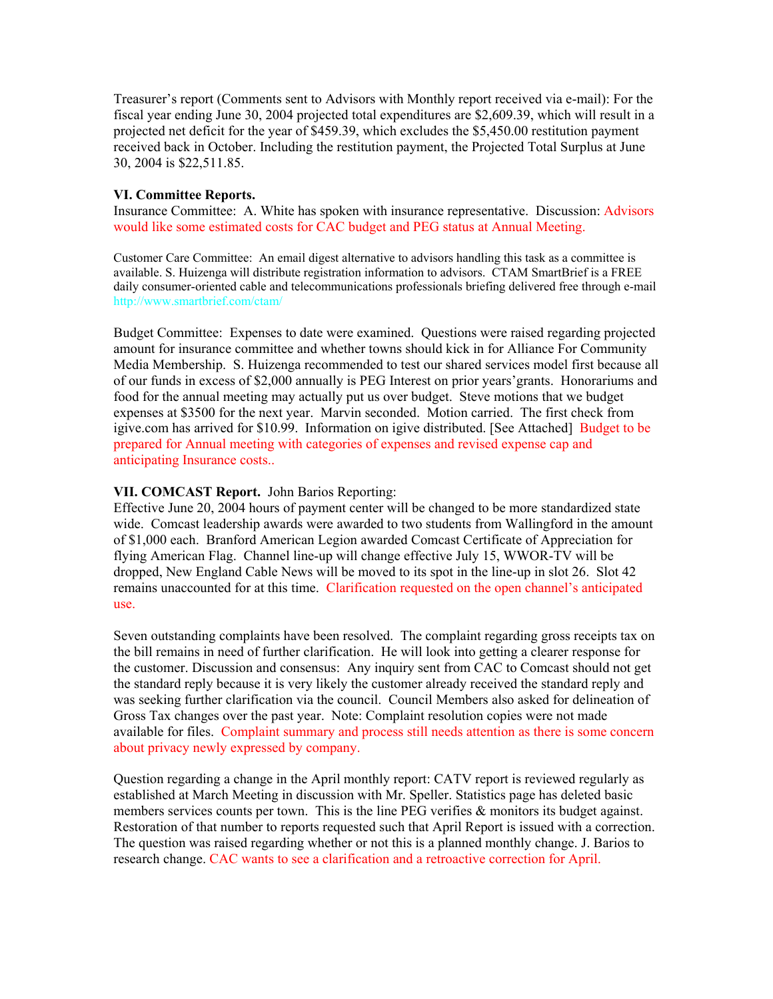Treasurer's report (Comments sent to Advisors with Monthly report received via e-mail): For the fiscal year ending June 30, 2004 projected total expenditures are \$2,609.39, which will result in a projected net deficit for the year of \$459.39, which excludes the \$5,450.00 restitution payment received back in October. Including the restitution payment, the Projected Total Surplus at June 30, 2004 is \$22,511.85.

#### **VI. Committee Reports.**

Insurance Committee: A. White has spoken with insurance representative. Discussion: Advisors would like some estimated costs for CAC budget and PEG status at Annual Meeting.

Customer Care Committee: An email digest alternative to advisors handling this task as a committee is available. S. Huizenga will distribute registration information to advisors. CTAM SmartBrief is a FREE daily consumer-oriented cable and telecommunications professionals briefing delivered free through e-mail http://www.smartbrief.com/ctam/

Budget Committee: Expenses to date were examined. Questions were raised regarding projected amount for insurance committee and whether towns should kick in for Alliance For Community Media Membership. S. Huizenga recommended to test our shared services model first because all of our funds in excess of \$2,000 annually is PEG Interest on prior years'grants. Honorariums and food for the annual meeting may actually put us over budget. Steve motions that we budget expenses at \$3500 for the next year. Marvin seconded. Motion carried. The first check from igive.com has arrived for \$10.99. Information on igive distributed. [See Attached] Budget to be prepared for Annual meeting with categories of expenses and revised expense cap and anticipating Insurance costs..

## **VII. COMCAST Report.** John Barios Reporting:

Effective June 20, 2004 hours of payment center will be changed to be more standardized state wide. Comcast leadership awards were awarded to two students from Wallingford in the amount of \$1,000 each. Branford American Legion awarded Comcast Certificate of Appreciation for flying American Flag. Channel line-up will change effective July 15, WWOR-TV will be dropped, New England Cable News will be moved to its spot in the line-up in slot 26. Slot 42 remains unaccounted for at this time. Clarification requested on the open channel's anticipated use.

Seven outstanding complaints have been resolved. The complaint regarding gross receipts tax on the bill remains in need of further clarification. He will look into getting a clearer response for the customer. Discussion and consensus: Any inquiry sent from CAC to Comcast should not get the standard reply because it is very likely the customer already received the standard reply and was seeking further clarification via the council. Council Members also asked for delineation of Gross Tax changes over the past year. Note: Complaint resolution copies were not made available for files. Complaint summary and process still needs attention as there is some concern about privacy newly expressed by company.

Question regarding a change in the April monthly report: CATV report is reviewed regularly as established at March Meeting in discussion with Mr. Speller. Statistics page has deleted basic members services counts per town. This is the line PEG verifies  $\&$  monitors its budget against. Restoration of that number to reports requested such that April Report is issued with a correction. The question was raised regarding whether or not this is a planned monthly change. J. Barios to research change. CAC wants to see a clarification and a retroactive correction for April.